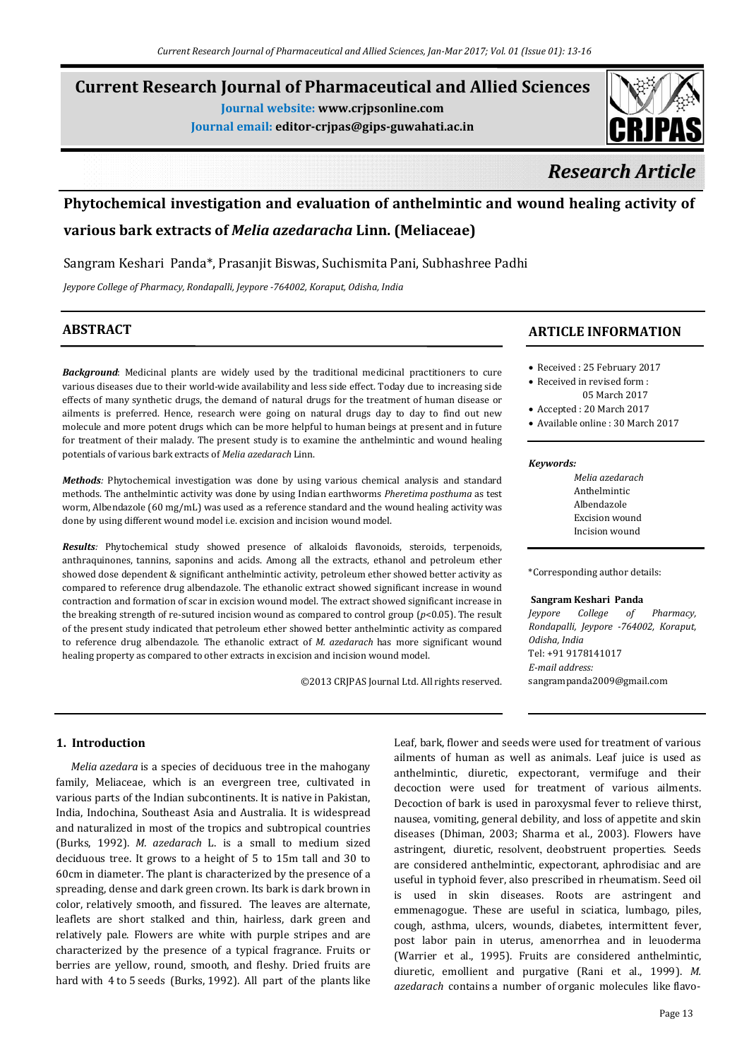# **Current Research Journal of Pharmaceutical and Allied Sciences**

**Journal website: www.crjpsonline.com**

**Journal email: editor-crjpas@gips-guwahati.ac.in**



# *Research Article*

# **Phytochemical investigation and evaluation of anthelmintic and wound healing activity of**

## **various bark extracts of** *Melia azedaracha* **Linn. (Meliaceae)**

Sangram Keshari Panda\*, Prasanjit Biswas, Suchismita Pani, Subhashree Padhi

*Jeypore College of Pharmacy, Rondapalli, Jeypore -764002, Koraput, Odisha, India*

### **ABSTRACT**

*Background*: Medicinal plants are widely used by the traditional medicinal practitioners to cure various diseases due to their world-wide availability and less side effect. Today due to increasing side effects of many synthetic drugs, the demand of natural drugs for the treatment of human disease or ailments is preferred. Hence, research were going on natural drugs day to day to find out new molecule and more potent drugs which can be more helpful to human beings at present and in future for treatment of their malady. The present study is to examine the anthelmintic and wound healing potentials of various bark extracts of *Melia azedarach* Linn.

*Methods:* Phytochemical investigation was done by using various chemical analysis and standard methods. The anthelmintic activity was done by using Indian earthworms *Pheretima posthuma* as test worm, Albendazole (60 mg/mL) was used as a reference standard and the wound healing activity was done by using different wound model i.e. excision and incision wound model.

*Results:* Phytochemical study showed presence of alkaloids flavonoids, steroids, terpenoids, anthraquinones, tannins, saponins and acids. Among all the extracts, ethanol and petroleum ether showed dose dependent & significant anthelmintic activity, petroleum ether showed better activity as compared to reference drug albendazole. The ethanolic extract showed significant increase in wound contraction and formation of scar in excision wound model. The extract showed significant increase in the breaking strength of re-sutured incision wound as compared to control group (*p*<0.05). The result of the present study indicated that petroleum ether showed better anthelmintic activity as compared to reference drug albendazole. The ethanolic extract of *M. azedarach* has more significant wound healing property as compared to other extracts in excision and incision wound model.

©2013 CRJPAS Journal Ltd. All rights reserved.

### **ARTICLE INFORMATION**

- Received : 25 February 2017
- Received in revised form : 05 March 2017
- Accepted : 20 March 2017
- Available online : 30 March 2017

### *Keywords:*

*Melia azedarach*  Anthelmintic Albendazole Excision wound Incision wound

\*Corresponding author details:

### **Sangram Keshari Panda**

*Jeypore College of Pharmacy, Rondapalli, Jeypore -764002, Koraput, Odisha, India* Tel: +91 9178141017 *E-mail address:* sangrampanda2009@gmail.com

### **1. Introduction**

 *Melia azedara* is a species of deciduous tree in the mahogany family, Meliaceae, which is an evergreen tree, cultivated in various parts of the Indian subcontinents. It is native in Pakistan, India, Indochina, Southeast Asia and Australia. It is widespread and naturalized in most of the tropics and subtropical countries (Burks, 1992). *M. azedarach* L. is a small to medium sized deciduous tree. It grows to a height of 5 to 15m tall and 30 to 60cm in diameter. The plant is characterized by the presence of a spreading, dense and dark green crown. Its bark is dark brown in color, relatively smooth, and fissured. The leaves are alternate, leaflets are short stalked and thin, hairless, dark green and relatively pale. Flowers are white with purple stripes and are characterized by the presence of a typical fragrance. Fruits or berries are yellow, round, smooth, and fleshy. Dried fruits are hard with 4 to 5 seeds (Burks, 1992). All part of the plants like Leaf, bark, flower and seeds were used for treatment of various ailments of human as well as animals. Leaf juice is used as anthelmintic, diuretic, expectorant, vermifuge and their decoction were used for treatment of various ailments. Decoction of bark is used in paroxysmal fever to relieve thirst, nausea, vomiting, general debility, and loss of appetite and skin diseases (Dhiman, 2003; Sharma et al., 2003). Flowers have astringent, diuretic, resolvent, deobstruent properties. Seeds are considered anthelmintic, expectorant, aphrodisiac and are useful in typhoid fever, also prescribed in rheumatism. Seed oil is used in skin diseases. Roots are astringent and emmenagogue. These are useful in sciatica, lumbago, piles, cough, asthma, ulcers, wounds, diabetes, intermittent fever, post labor pain in uterus, amenorrhea and in leuoderma (Warrier et al., 1995). Fruits are considered anthelmintic, diuretic, emollient and purgative (Rani et al., 1999). *M. azedarach* contains a number of organic molecules like flavo-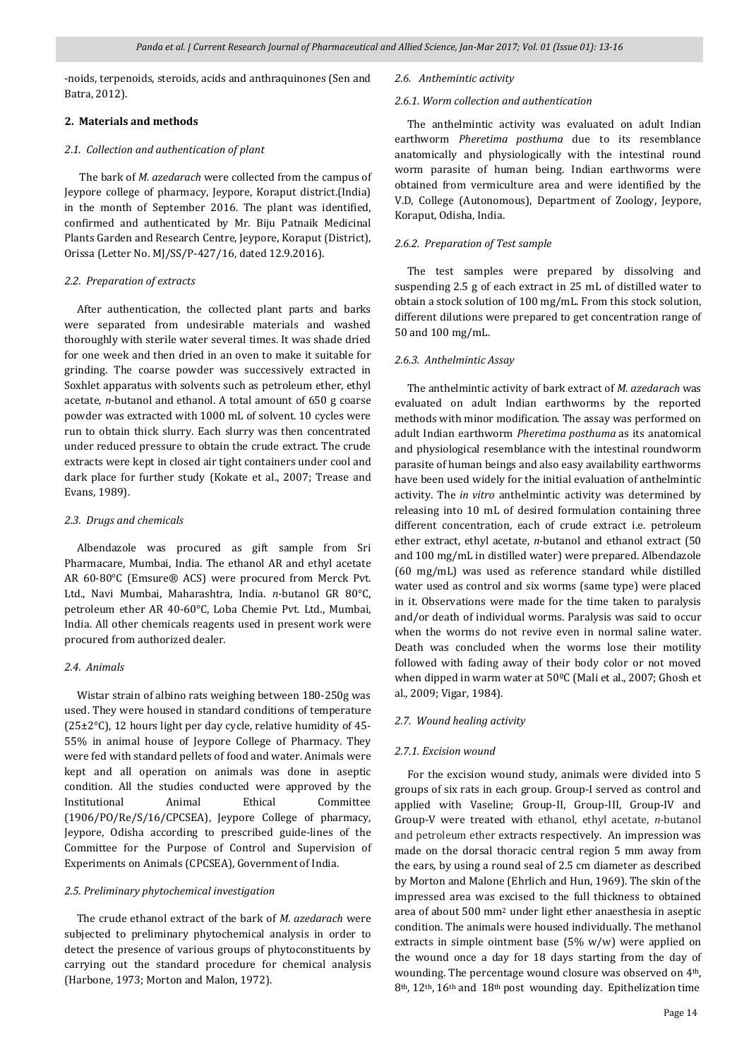-noids, terpenoids, steroids, acids and anthraquinones (Sen and Batra, 2012).

### **2. Materials and methods**

### *2*.*1. Collection and authentication of plant*

 The bark of *M. azedarach* were collected from the campus of Jeypore college of pharmacy, Jeypore, Koraput district.(India) in the month of September 2016. The plant was identified, confirmed and authenticated by Mr. Biju Patnaik Medicinal Plants Garden and Research Centre, Jeypore, Koraput (District), Orissa (Letter No. MJ/SS/P-427/16, dated 12.9.2016).

### *2.2. Preparation of extracts*

 After authentication, the collected plant parts and barks were separated from undesirable materials and washed thoroughly with sterile water several times. It was shade dried for one week and then dried in an oven to make it suitable for grinding. The coarse powder was successively extracted in Soxhlet apparatus with solvents such as petroleum ether, ethyl acetate, *n*-butanol and ethanol. A total amount of 650 g coarse powder was extracted with 1000 mL of solvent. 10 cycles were run to obtain thick slurry. Each slurry was then concentrated under reduced pressure to obtain the crude extract. The crude extracts were kept in closed air tight containers under cool and dark place for further study (Kokate et al., 2007; Trease and Evans, 1989).

### *2.3. Drugs and chemicals*

 Albendazole was procured as gift sample from Sri Pharmacare, Mumbai, India. The ethanol AR and ethyl acetate AR 60-80°C (Emsure® ACS) were procured from Merck Pvt. Ltd., Navi Mumbai, Maharashtra, India. *n*-butanol GR 80°C, petroleum ether AR 40-60°C, Loba Chemie Pvt. Ltd., Mumbai, India. All other chemicals reagents used in present work were procured from authorized dealer.

### *2.4. Animals*

 Wistar strain of albino rats weighing between 180-250g was used. They were housed in standard conditions of temperature (25±2°C), 12 hours light per day cycle, relative humidity of 45- 55% in animal house of Jeypore College of Pharmacy. They were fed with standard pellets of food and water. Animals were kept and all operation on animals was done in aseptic condition. All the studies conducted were approved by the Institutional Animal Ethical Committee (1906/PO/Re/S/16/CPCSEA), Jeypore College of pharmacy, Jeypore, Odisha according to prescribed guide-lines of the Committee for the Purpose of Control and Supervision of Experiments on Animals (CPCSEA), Government of India.

### *2.5. Preliminary phytochemical investigation*

 The crude ethanol extract of the bark of *M. azedarach* were subjected to preliminary phytochemical analysis in order to detect the presence of various groups of phytoconstituents by carrying out the standard procedure for chemical analysis (Harbone, 1973; Morton and Malon, 1972).

### *2.6. Anthemintic activity*

### *2.6.1. Worm collection and authentication*

 The anthelmintic activity was evaluated on adult Indian earthworm *Pheretima posthuma* due to its resemblance anatomically and physiologically with the intestinal round worm parasite of human being. Indian earthworms were obtained from vermiculture area and were identified by the V.D, College (Autonomous), Department of Zoology, Jeypore, Koraput, Odisha, India.

### *2.6.2. Preparation of Test sample*

 The test samples were prepared by dissolving and suspending 2.5 g of each extract in 25 mL of distilled water to obtain a stock solution of 100 mg/mL. From this stock solution, different dilutions were prepared to get concentration range of 50 and 100 mg/mL.

### *2.6.3. Anthelmintic Assay*

 The anthelmintic activity of bark extract of *M. azedarach* was evaluated on adult Indian earthworms by the reported methods with minor modification. The assay was performed on adult Indian earthworm *Pheretima posthuma* as its anatomical and physiological resemblance with the intestinal roundworm parasite of human beings and also easy availability earthworms have been used widely for the initial evaluation of anthelmintic activity. The *in vitro* anthelmintic activity was determined by releasing into 10 mL of desired formulation containing three different concentration, each of crude extract i.e. petroleum ether extract, ethyl acetate, *n*-butanol and ethanol extract (50 and 100 mg/mL in distilled water) were prepared. Albendazole (60 mg/mL) was used as reference standard while distilled water used as control and six worms (same type) were placed in it. Observations were made for the time taken to paralysis and/or death of individual worms. Paralysis was said to occur when the worms do not revive even in normal saline water. Death was concluded when the worms lose their motility followed with fading away of their body color or not moved when dipped in warm water at 50ºC (Mali et al., 2007; Ghosh et al., 2009; Vigar, 1984).

### *2.7. Wound healing activity*

### *2.7.1. Excision wound*

 For the excision wound study, animals were divided into 5 groups of six rats in each group. Group-I served as control and applied with Vaseline; Group-II, Group-III, Group-IV and Group-V were treated with ethanol, ethyl acetate, *n*-butanol and petroleum ether extracts respectively. An impression was made on the dorsal thoracic central region 5 mm away from the ears, by using a round seal of 2.5 cm diameter as described by Morton and Malone (Ehrlich and Hun, 1969). The skin of the impressed area was excised to the full thickness to obtained area of about 500 mm2 under light ether anaesthesia in aseptic condition. The animals were housed individually. The methanol extracts in simple ointment base (5% w/w) were applied on the wound once a day for 18 days starting from the day of wounding. The percentage wound closure was observed on 4th, 8th, 12th, 16th and 18th post wounding day. Epithelization time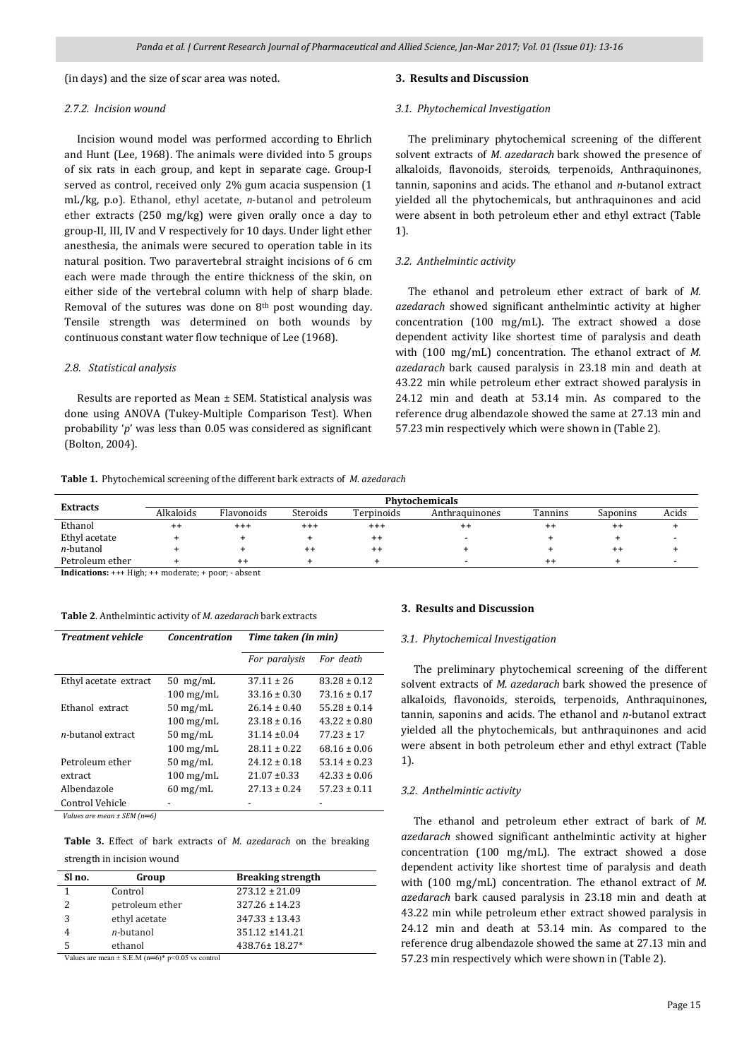(in days) and the size of scar area was noted.

### *2.7.2. Incision wound*

 Incision wound model was performed according to Ehrlich and Hunt (Lee, 1968). The animals were divided into 5 groups of six rats in each group, and kept in separate cage. Group-I served as control, received only 2% gum acacia suspension (1 mL/kg, p.o). Ethanol, ethyl acetate, *n*-butanol and petroleum ether extracts (250 mg/kg) were given orally once a day to group-II, III, IV and V respectively for 10 days. Under light ether anesthesia, the animals were secured to operation table in its natural position. Two paravertebral straight incisions of 6 cm each were made through the entire thickness of the skin, on either side of the vertebral column with help of sharp blade. Removal of the sutures was done on 8th post wounding day. Tensile strength was determined on both wounds by continuous constant water flow technique of Lee (1968).

### *2.8. Statistical analysis*

 Results are reported as Mean ± SEM. Statistical analysis was done using ANOVA (Tukey-Multiple Comparison Test). When probability '*p*' was less than 0.05 was considered as significant (Bolton, 2004).

### **3. Results and Discussion**

#### *3.1. Phytochemical Investigation*

 The preliminary phytochemical screening of the different solvent extracts of *M. azedarach* bark showed the presence of alkaloids, flavonoids, steroids, terpenoids, Anthraquinones, tannin, saponins and acids. The ethanol and *n*-butanol extract yielded all the phytochemicals, but anthraquinones and acid were absent in both petroleum ether and ethyl extract (Table 1).

### *3.2. Anthelmintic activity*

 The ethanol and petroleum ether extract of bark of *M. azedarach* showed significant anthelmintic activity at higher concentration (100 mg/mL). The extract showed a dose dependent activity like shortest time of paralysis and death with (100 mg/mL) concentration. The ethanol extract of *M. azedarach* bark caused paralysis in 23.18 min and death at 43.22 min while petroleum ether extract showed paralysis in 24.12 min and death at 53.14 min. As compared to the reference drug albendazole showed the same at 27.13 min and 57.23 min respectively which were shown in (Table 2).

|  |  | Table 1. Phytochemical screening of the different bark extracts of M. azedarach |  |  |  |
|--|--|---------------------------------------------------------------------------------|--|--|--|
|--|--|---------------------------------------------------------------------------------|--|--|--|

|                   | Phytochemicals |                 |          |            |                |         |          |       |
|-------------------|----------------|-----------------|----------|------------|----------------|---------|----------|-------|
| <b>Extracts</b>   | Alkaloids      | Flavonoids      | Steroids | Terpinoids | Anthraquinones | Tannins | Saponins | Acids |
| Ethanol           | $^{++}$        | $^{+++}$        | $^{++}$  | $^{+++}$   | $^{\rm + +}$   | $^{++}$ | $^{++}$  |       |
| Ethyl acetate     |                |                 |          | $^{++}$    |                |         |          |       |
| <i>n</i> -butanol |                |                 |          | $^{++}$    |                |         | $^{++}$  |       |
| Petroleum ether   |                | $^{\mathrm{+}}$ |          |            |                | $^{++}$ |          |       |
|                   |                |                 |          |            |                |         |          |       |

**Indications:** +++ High; ++ moderate; + poor; - absent

**Table 2**. Anthelmintic activity of *M. azedarach* bark extracts

| <b>Treatment vehicle</b>  | <b>Concentration</b>   | Time taken (in min) |                  |
|---------------------------|------------------------|---------------------|------------------|
|                           |                        | For paralysis       | For death        |
| Ethyl acetate extract     | $50$ mg/mL             | $37.11 \pm 26$      | $83.28 \pm 0.12$ |
|                           | $100 \,\mathrm{mg/mL}$ | $33.16 \pm 0.30$    | $73.16 \pm 0.17$ |
| Ethanol extract           | $50 \text{ mg/mL}$     | $26.14 \pm 0.40$    | $55.28 \pm 0.14$ |
|                           | $100$ mg/mL            | $23.18 \pm 0.16$    | $43.22 \pm 0.80$ |
| <i>n</i> -butanol extract | $50 \text{ mg/mL}$     | $31.14 \pm 0.04$    | $77.23 \pm 17$   |
|                           | $100 \,\mathrm{mg/mL}$ | $28.11 \pm 0.22$    | $68.16 \pm 0.06$ |
| Petroleum ether           | $50 \text{ mg/mL}$     | $24.12 \pm 0.18$    | $53.14 \pm 0.23$ |
| extract                   | $100$ mg/mL            | $21.07 \pm 0.33$    | $42.33 \pm 0.06$ |
| Albendazole               | $60 \text{ mg/mL}$     | $27.13 \pm 0.24$    | $57.23 \pm 0.11$ |
| Control Vehicle<br>-----  |                        |                     |                  |

*Values are mean ± SEM (n═6)*

**Table 3.** Effect of bark extracts of *M. azedarach* on the breaking strength in incision wound

| Sl no. | Group             | <b>Breaking strength</b> |
|--------|-------------------|--------------------------|
|        | Control           | $273.12 \pm 21.09$       |
|        | petroleum ether   | $327.26 \pm 14.23$       |
|        | ethyl acetate     | $347.33 \pm 13.43$       |
|        | <i>n</i> -butanol | $351.12 \pm 141.21$      |
|        | ethanol           | 438.76±18.27*            |
|        |                   |                          |

Values are mean  $\pm$  S.E.M (n=6)\* p<0.05 vs control

### **3. Results and Discussion**

### *3.1. Phytochemical Investigation*

 The preliminary phytochemical screening of the different solvent extracts of *M. azedarach* bark showed the presence of alkaloids, flavonoids, steroids, terpenoids, Anthraquinones, tannin, saponins and acids. The ethanol and *n*-butanol extract yielded all the phytochemicals, but anthraquinones and acid were absent in both petroleum ether and ethyl extract (Table 1).

### *3.2. Anthelmintic activity*

 The ethanol and petroleum ether extract of bark of *M. azedarach* showed significant anthelmintic activity at higher concentration (100 mg/mL). The extract showed a dose dependent activity like shortest time of paralysis and death with (100 mg/mL) concentration. The ethanol extract of *M. azedarach* bark caused paralysis in 23.18 min and death at 43.22 min while petroleum ether extract showed paralysis in 24.12 min and death at 53.14 min. As compared to the reference drug albendazole showed the same at 27.13 min and 57.23 min respectively which were shown in (Table 2).